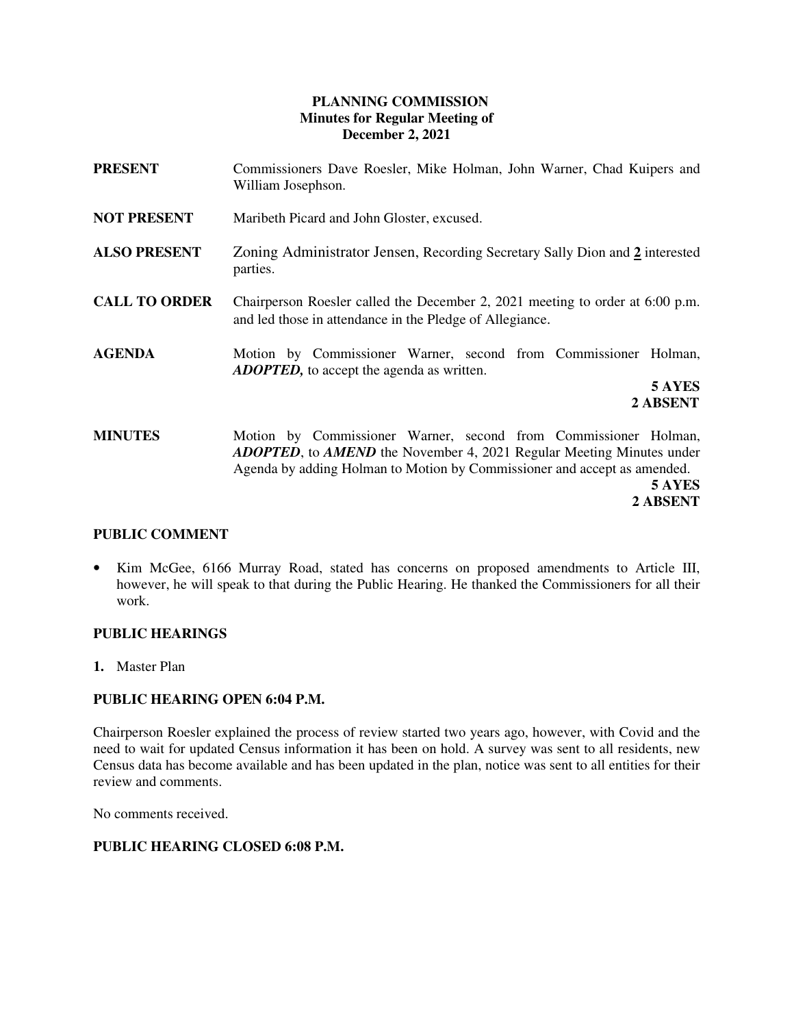# **PLANNING COMMISSION Minutes for Regular Meeting of December 2, 2021**

- **PRESENT** Commissioners Dave Roesler, Mike Holman, John Warner, Chad Kuipers and William Josephson.
- **NOT PRESENT** Maribeth Picard and John Gloster, excused.
- **ALSO PRESENT** Zoning Administrator Jensen, Recording Secretary Sally Dion and **2** interested parties.
- **CALL TO ORDER** Chairperson Roesler called the December 2, 2021 meeting to order at 6:00 p.m. and led those in attendance in the Pledge of Allegiance.
- **AGENDA** Motion by Commissioner Warner, second from Commissioner Holman, *ADOPTED,* to accept the agenda as written.

**5 AYES 2 ABSENT**

**MINUTES** Motion by Commissioner Warner, second from Commissioner Holman, *ADOPTED*, to *AMEND* the November 4, 2021 Regular Meeting Minutes under Agenda by adding Holman to Motion by Commissioner and accept as amended.  **5 AYES** 

**2 ABSENT** 

# **PUBLIC COMMENT**

• Kim McGee, 6166 Murray Road, stated has concerns on proposed amendments to Article III, however, he will speak to that during the Public Hearing. He thanked the Commissioners for all their work.

# **PUBLIC HEARINGS**

**1.** Master Plan

# **PUBLIC HEARING OPEN 6:04 P.M.**

Chairperson Roesler explained the process of review started two years ago, however, with Covid and the need to wait for updated Census information it has been on hold. A survey was sent to all residents, new Census data has become available and has been updated in the plan, notice was sent to all entities for their review and comments.

No comments received.

# **PUBLIC HEARING CLOSED 6:08 P.M.**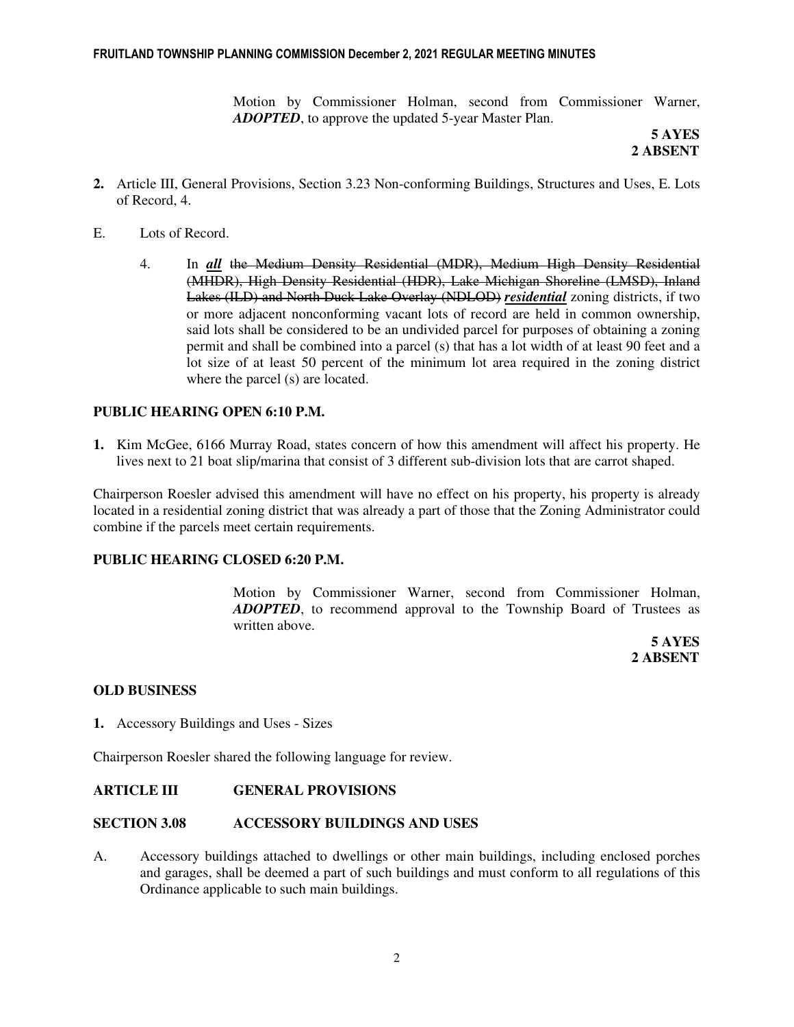Motion by Commissioner Holman, second from Commissioner Warner, *ADOPTED*, to approve the updated 5-year Master Plan.

 **5 AYES 2 ABSENT** 

- **2.** Article III, General Provisions, Section 3.23 Non-conforming Buildings, Structures and Uses, E. Lots of Record, 4.
- E. Lots of Record.
	- 4. In *all* the Medium Density Residential (MDR), Medium High Density Residential (MHDR), High Density Residential (HDR), Lake Michigan Shoreline (LMSD), Inland Lakes (ILD) and North Duck Lake Overlay (NDLOD) *residential* zoning districts, if two or more adjacent nonconforming vacant lots of record are held in common ownership, said lots shall be considered to be an undivided parcel for purposes of obtaining a zoning permit and shall be combined into a parcel (s) that has a lot width of at least 90 feet and a lot size of at least 50 percent of the minimum lot area required in the zoning district where the parcel (s) are located.

### **PUBLIC HEARING OPEN 6:10 P.M.**

**1.** Kim McGee, 6166 Murray Road, states concern of how this amendment will affect his property. He lives next to 21 boat slip/marina that consist of 3 different sub-division lots that are carrot shaped.

Chairperson Roesler advised this amendment will have no effect on his property, his property is already located in a residential zoning district that was already a part of those that the Zoning Administrator could combine if the parcels meet certain requirements.

### **PUBLIC HEARING CLOSED 6:20 P.M.**

Motion by Commissioner Warner, second from Commissioner Holman, *ADOPTED*, to recommend approval to the Township Board of Trustees as written above.

 **5 AYES 2 ABSENT** 

#### **OLD BUSINESS**

**1.** Accessory Buildings and Uses - Sizes

Chairperson Roesler shared the following language for review.

#### **ARTICLE III GENERAL PROVISIONS**

#### **SECTION 3.08 ACCESSORY BUILDINGS AND USES**

A. Accessory buildings attached to dwellings or other main buildings, including enclosed porches and garages, shall be deemed a part of such buildings and must conform to all regulations of this Ordinance applicable to such main buildings.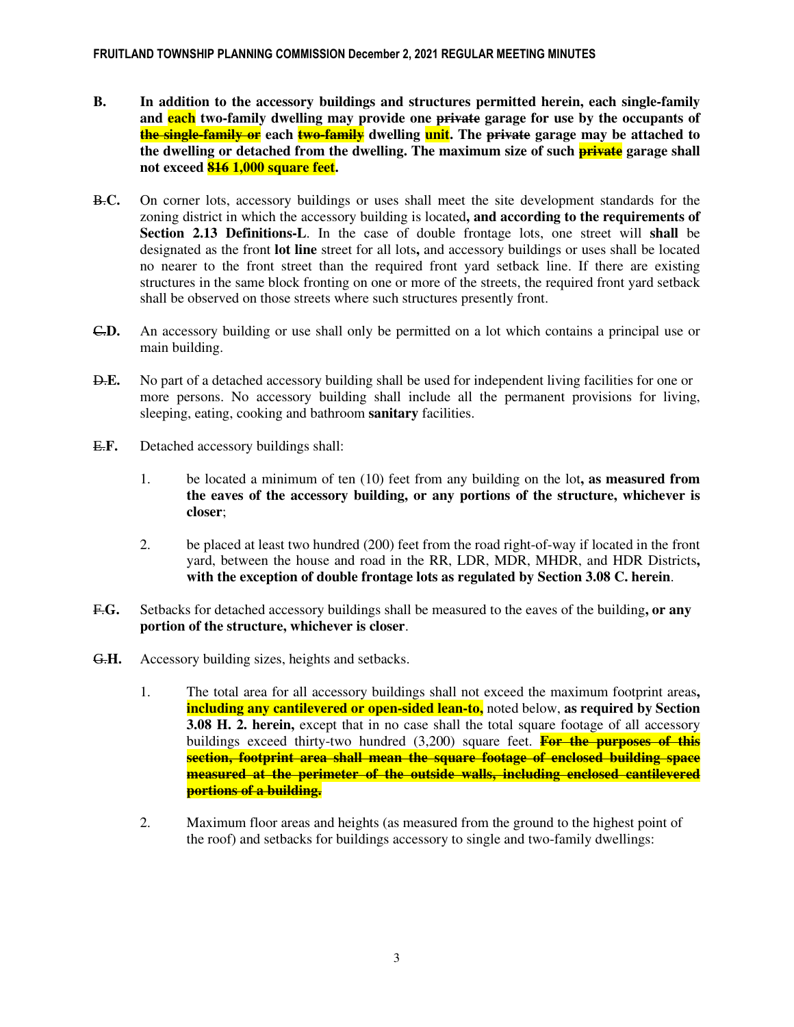- **B. In addition to the accessory buildings and structures permitted herein, each single-family and each two-family dwelling may provide one private garage for use by the occupants of the single-family or each two-family dwelling unit. The private garage may be attached to the dwelling or detached from the dwelling. The maximum size of such private garage shall not exceed 816 1,000 square feet.**
- B.**C.** On corner lots, accessory buildings or uses shall meet the site development standards for the zoning district in which the accessory building is located**, and according to the requirements of Section 2.13 Definitions-L**. In the case of double frontage lots, one street will **shall** be designated as the front **lot line** street for all lots**,** and accessory buildings or uses shall be located no nearer to the front street than the required front yard setback line. If there are existing structures in the same block fronting on one or more of the streets, the required front yard setback shall be observed on those streets where such structures presently front.
- C.**D.** An accessory building or use shall only be permitted on a lot which contains a principal use or main building.
- D.**E.** No part of a detached accessory building shall be used for independent living facilities for one or more persons. No accessory building shall include all the permanent provisions for living, sleeping, eating, cooking and bathroom **sanitary** facilities.
- E.**F.** Detached accessory buildings shall:
	- 1. be located a minimum of ten (10) feet from any building on the lot**, as measured from the eaves of the accessory building, or any portions of the structure, whichever is closer**;
	- 2. be placed at least two hundred (200) feet from the road right-of-way if located in the front yard, between the house and road in the RR, LDR, MDR, MHDR, and HDR Districts**, with the exception of double frontage lots as regulated by Section 3.08 C. herein**.
- F.**G.** Setbacks for detached accessory buildings shall be measured to the eaves of the building**, or any portion of the structure, whichever is closer**.
- G.**H.** Accessory building sizes, heights and setbacks.
	- 1. The total area for all accessory buildings shall not exceed the maximum footprint areas**, including any cantilevered or open-sided lean-to,** noted below, **as required by Section 3.08 H. 2. herein,** except that in no case shall the total square footage of all accessory buildings exceed thirty-two hundred (3,200) square feet. **For the purposes of this section, footprint area shall mean the square footage of enclosed building space measured at the perimeter of the outside walls, including enclosed cantilevered portions of a building.**
	- 2. Maximum floor areas and heights (as measured from the ground to the highest point of the roof) and setbacks for buildings accessory to single and two-family dwellings: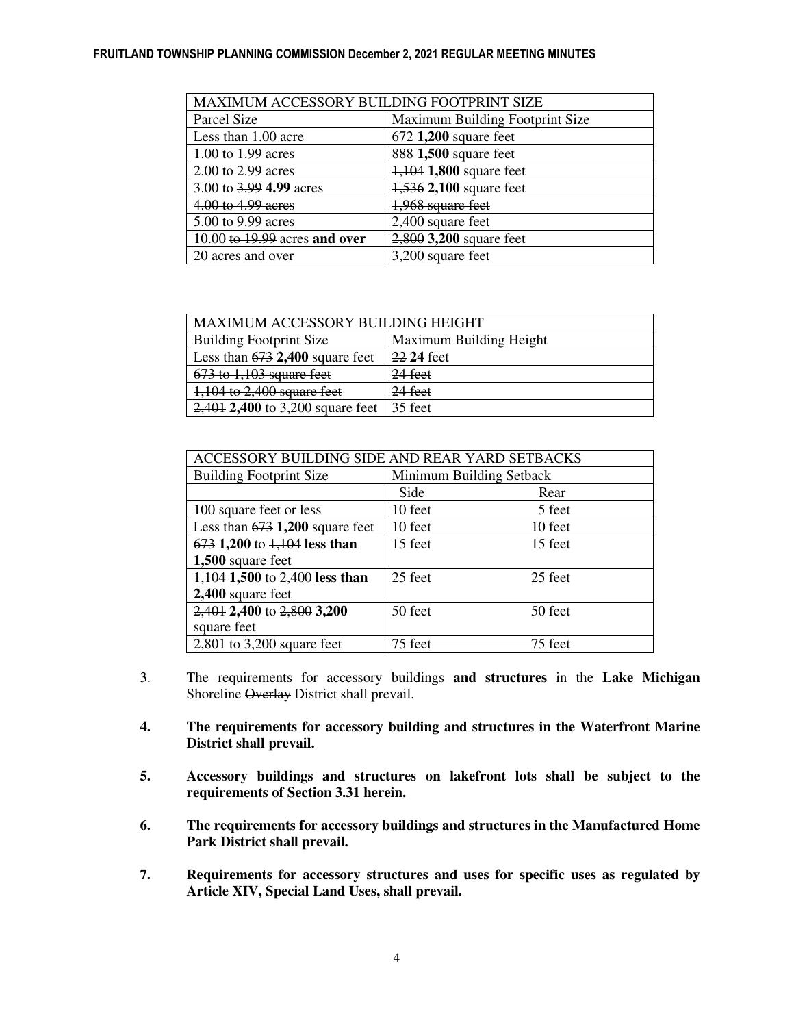### FRUITLAND TOWNSHIP PLANNING COMMISSION December 2, 2021 REGULAR MEETING MINUTES

| MAXIMUM ACCESSORY BUILDING FOOTPRINT SIZE |                                 |  |
|-------------------------------------------|---------------------------------|--|
| Parcel Size                               | Maximum Building Footprint Size |  |
| Less than 1.00 acre                       | 672 1,200 square feet           |  |
| 1.00 to 1.99 acres                        | 888 1,500 square feet           |  |
| 2.00 to 2.99 acres                        | 1,104 1,800 square feet         |  |
| 3.00 to 3.99 4.99 acres                   | 1,536 2,100 square feet         |  |
| 4.00 to 4.99 acres                        | 1,968 square feet               |  |
| 5.00 to 9.99 acres                        | 2,400 square feet               |  |
| 10.00 to $19.99$ acres and over           | 2,800 3,200 square feet         |  |
| 20 acres and over                         | 3,200 square feet               |  |

| MAXIMUM ACCESSORY BUILDING HEIGHT  |                         |  |
|------------------------------------|-------------------------|--|
| <b>Building Footprint Size</b>     | Maximum Building Height |  |
| Less than $673$ 2,400 square feet  | 22 24 feet              |  |
| $673$ to $1,103$ square feet       | 24 feet                 |  |
| 1,104 to 2,400 square feet         | $24$ feet               |  |
| $2,401$ 2,400 to 3,200 square feet | 35 feet                 |  |

| ACCESSORY BUILDING SIDE AND REAR YARD SETBACKS |                          |         |  |  |
|------------------------------------------------|--------------------------|---------|--|--|
| <b>Building Footprint Size</b>                 | Minimum Building Setback |         |  |  |
|                                                | Side                     | Rear    |  |  |
| 100 square feet or less                        | 10 feet                  | 5 feet  |  |  |
| Less than $673$ 1,200 square feet              | 10 feet                  | 10 feet |  |  |
| $673$ 1,200 to $1,104$ less than               | 15 feet                  | 15 feet |  |  |
| 1,500 square feet                              |                          |         |  |  |
| $1,104$ 1,500 to 2,400 less than               | 25 feet                  | 25 feet |  |  |
| 2,400 square feet                              |                          |         |  |  |
| 2,401 2,400 to 2,800 3,200                     | 50 feet                  | 50 feet |  |  |
| square feet                                    |                          |         |  |  |
| $2,801$ to 3,200 square feet                   |                          |         |  |  |

- 3. The requirements for accessory buildings **and structures** in the **Lake Michigan**  Shoreline Overlay District shall prevail.
- **4. The requirements for accessory building and structures in the Waterfront Marine District shall prevail.**
- **5. Accessory buildings and structures on lakefront lots shall be subject to the requirements of Section 3.31 herein.**
- **6. The requirements for accessory buildings and structures in the Manufactured Home Park District shall prevail.**
- **7. Requirements for accessory structures and uses for specific uses as regulated by Article XIV, Special Land Uses, shall prevail.**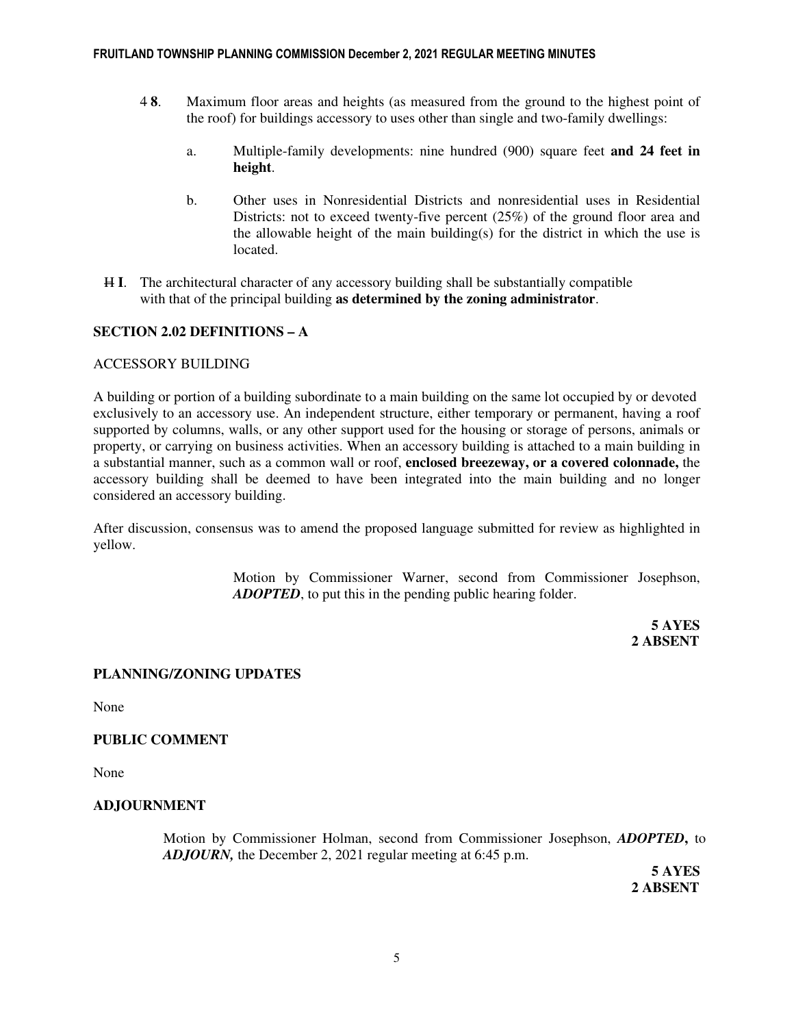- 4 **8**. Maximum floor areas and heights (as measured from the ground to the highest point of the roof) for buildings accessory to uses other than single and two-family dwellings:
	- a. Multiple-family developments: nine hundred (900) square feet **and 24 feet in height**.
	- b. Other uses in Nonresidential Districts and nonresidential uses in Residential Districts: not to exceed twenty-five percent (25%) of the ground floor area and the allowable height of the main building(s) for the district in which the use is located.
- H **I**. The architectural character of any accessory building shall be substantially compatible with that of the principal building **as determined by the zoning administrator**.

# **SECTION 2.02 DEFINITIONS – A**

### ACCESSORY BUILDING

A building or portion of a building subordinate to a main building on the same lot occupied by or devoted exclusively to an accessory use. An independent structure, either temporary or permanent, having a roof supported by columns, walls, or any other support used for the housing or storage of persons, animals or property, or carrying on business activities. When an accessory building is attached to a main building in a substantial manner, such as a common wall or roof, **enclosed breezeway, or a covered colonnade,** the accessory building shall be deemed to have been integrated into the main building and no longer considered an accessory building.

After discussion, consensus was to amend the proposed language submitted for review as highlighted in yellow.

> Motion by Commissioner Warner, second from Commissioner Josephson, *ADOPTED*, to put this in the pending public hearing folder.

**5 AYES 2 ABSENT** 

# **PLANNING/ZONING UPDATES**

None

#### **PUBLIC COMMENT**

None

# **ADJOURNMENT**

Motion by Commissioner Holman, second from Commissioner Josephson, *ADOPTED***,** to *ADJOURN,* the December 2, 2021 regular meeting at 6:45 p.m.

 **5 AYES 2 ABSENT**